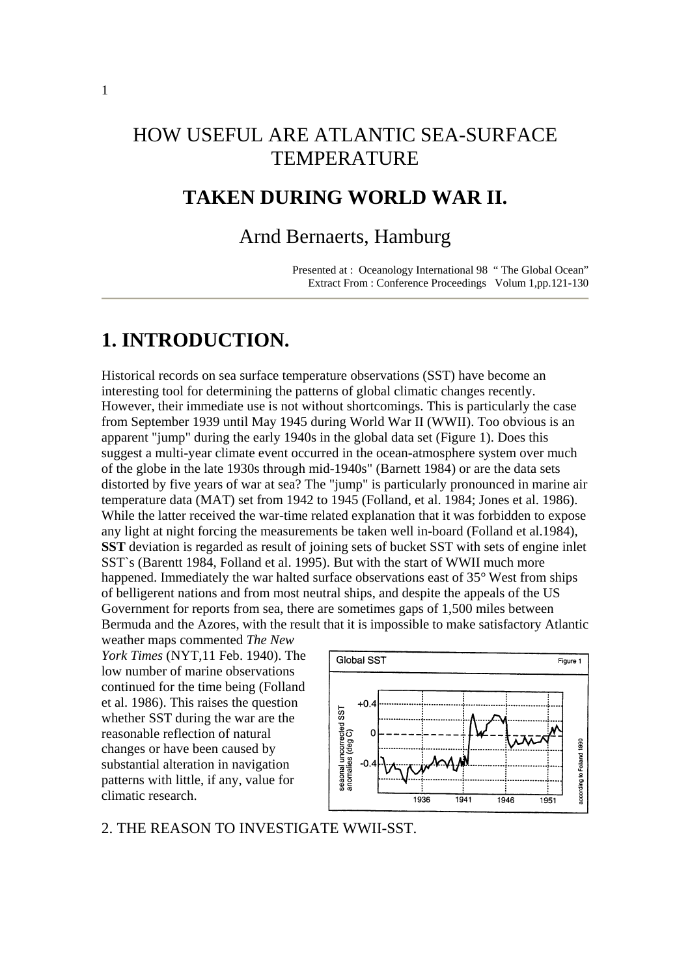# HOW USEFUL ARE ATLANTIC SEA-SURFACE **TEMPERATURE**

# **TAKEN DURING WORLD WAR II.**

## Arnd Bernaerts, Hamburg

Presented at : Oceanology International 98 " The Global Ocean" Extract From : Conference Proceedings Volum 1,pp.121-130

# **1. INTRODUCTION.**

Historical records on sea surface temperature observations (SST) have become an interesting tool for determining the patterns of global climatic changes recently. However, their immediate use is not without shortcomings. This is particularly the case from September 1939 until May 1945 during World War II (WWII). Too obvious is an apparent "jump" during the early 1940s in the global data set (Figure 1). Does this suggest a multi-year climate event occurred in the ocean-atmosphere system over much of the globe in the late 1930s through mid-1940s" (Barnett 1984) or are the data sets distorted by five years of war at sea? The "jump" is particularly pronounced in marine air temperature data (MAT) set from 1942 to 1945 (Folland, et al. 1984; Jones et al. 1986). While the latter received the war-time related explanation that it was forbidden to expose any light at night forcing the measurements be taken well in-board (Folland et al.1984), **SST** deviation is regarded as result of joining sets of bucket SST with sets of engine inlet SST`s (Barentt 1984, Folland et al. 1995). But with the start of WWII much more happened. Immediately the war halted surface observations east of 35° West from ships of belligerent nations and from most neutral ships, and despite the appeals of the US Government for reports from sea, there are sometimes gaps of 1,500 miles between Bermuda and the Azores, with the result that it is impossible to make satisfactory Atlantic

weather maps commented *The New York Times* (NYT,11 Feb. 1940). The low number of marine observations continued for the time being (Folland et al. 1986). This raises the question whether SST during the war are the reasonable reflection of natural changes or have been caused by substantial alteration in navigation patterns with little, if any, value for climatic research.



2. THE REASON TO INVESTIGATE WWII-SST.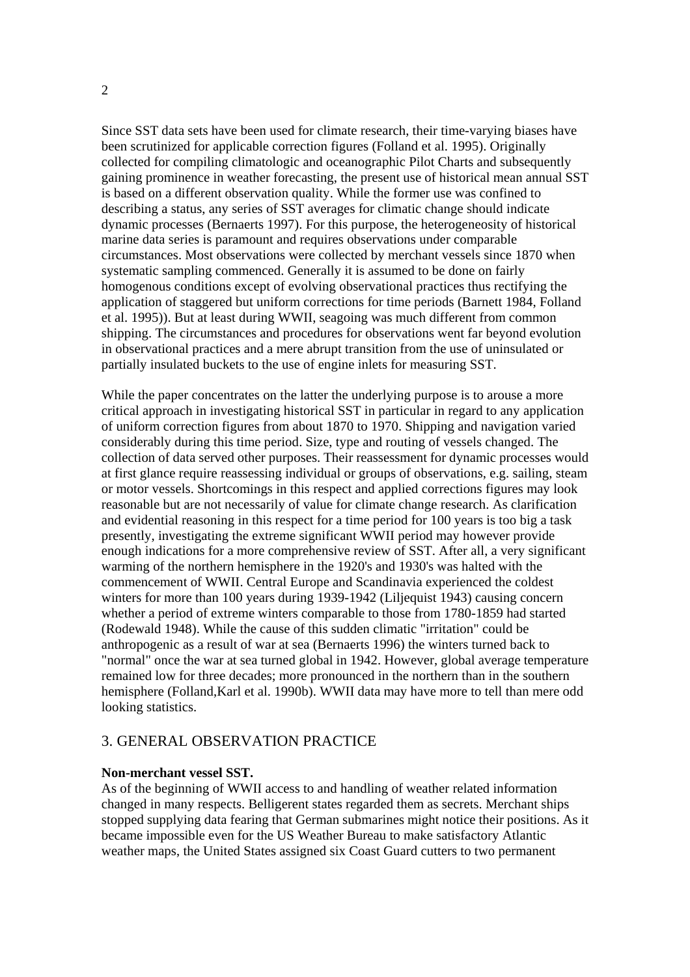Since SST data sets have been used for climate research, their time-varying biases have been scrutinized for applicable correction figures (Folland et al. 1995). Originally collected for compiling climatologic and oceanographic Pilot Charts and subsequently gaining prominence in weather forecasting, the present use of historical mean annual SST is based on a different observation quality. While the former use was confined to describing a status, any series of SST averages for climatic change should indicate dynamic processes (Bernaerts 1997). For this purpose, the heterogeneosity of historical marine data series is paramount and requires observations under comparable circumstances. Most observations were collected by merchant vessels since 1870 when systematic sampling commenced. Generally it is assumed to be done on fairly homogenous conditions except of evolving observational practices thus rectifying the application of staggered but uniform corrections for time periods (Barnett 1984, Folland et al. 1995)). But at least during WWII, seagoing was much different from common shipping. The circumstances and procedures for observations went far beyond evolution in observational practices and a mere abrupt transition from the use of uninsulated or partially insulated buckets to the use of engine inlets for measuring SST.

While the paper concentrates on the latter the underlying purpose is to arouse a more critical approach in investigating historical SST in particular in regard to any application of uniform correction figures from about 1870 to 1970. Shipping and navigation varied considerably during this time period. Size, type and routing of vessels changed. The collection of data served other purposes. Their reassessment for dynamic processes would at first glance require reassessing individual or groups of observations, e.g. sailing, steam or motor vessels. Shortcomings in this respect and applied corrections figures may look reasonable but are not necessarily of value for climate change research. As clarification and evidential reasoning in this respect for a time period for 100 years is too big a task presently, investigating the extreme significant WWII period may however provide enough indications for a more comprehensive review of SST. After all, a very significant warming of the northern hemisphere in the 1920's and 1930's was halted with the commencement of WWII. Central Europe and Scandinavia experienced the coldest winters for more than 100 years during 1939-1942 (Liljequist 1943) causing concern whether a period of extreme winters comparable to those from 1780-1859 had started (Rodewald 1948). While the cause of this sudden climatic "irritation" could be anthropogenic as a result of war at sea (Bernaerts 1996) the winters turned back to "normal" once the war at sea turned global in 1942. However, global average temperature remained low for three decades; more pronounced in the northern than in the southern hemisphere (Folland,Karl et al. 1990b). WWII data may have more to tell than mere odd looking statistics.

### 3. GENERAL OBSERVATION PRACTICE

#### **Non-merchant vessel SST.**

As of the beginning of WWII access to and handling of weather related information changed in many respects. Belligerent states regarded them as secrets. Merchant ships stopped supplying data fearing that German submarines might notice their positions. As it became impossible even for the US Weather Bureau to make satisfactory Atlantic weather maps, the United States assigned six Coast Guard cutters to two permanent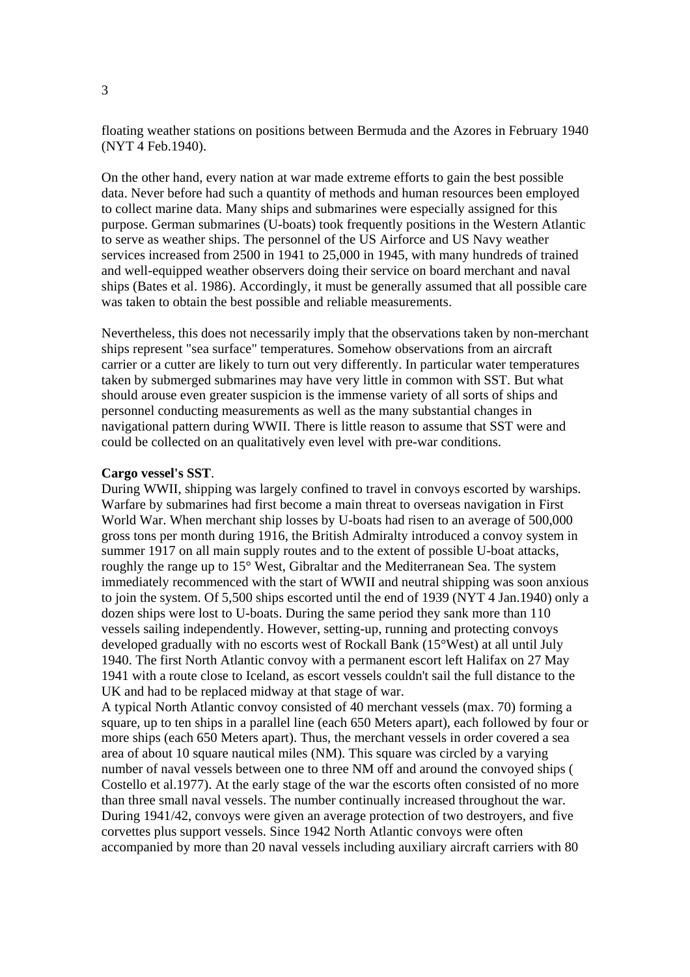floating weather stations on positions between Bermuda and the Azores in February 1940 (NYT 4 Feb.1940).

On the other hand, every nation at war made extreme efforts to gain the best possible data. Never before had such a quantity of methods and human resources been employed to collect marine data. Many ships and submarines were especially assigned for this purpose. German submarines (U-boats) took frequently positions in the Western Atlantic to serve as weather ships. The personnel of the US Airforce and US Navy weather services increased from 2500 in 1941 to 25,000 in 1945, with many hundreds of trained and well-equipped weather observers doing their service on board merchant and naval ships (Bates et al. 1986). Accordingly, it must be generally assumed that all possible care was taken to obtain the best possible and reliable measurements.

Nevertheless, this does not necessarily imply that the observations taken by non-merchant ships represent "sea surface" temperatures. Somehow observations from an aircraft carrier or a cutter are likely to turn out very differently. In particular water temperatures taken by submerged submarines may have very little in common with SST. But what should arouse even greater suspicion is the immense variety of all sorts of ships and personnel conducting measurements as well as the many substantial changes in navigational pattern during WWII. There is little reason to assume that SST were and could be collected on an qualitatively even level with pre-war conditions.

#### **Cargo vessel's SST**.

During WWII, shipping was largely confined to travel in convoys escorted by warships. Warfare by submarines had first become a main threat to overseas navigation in First World War. When merchant ship losses by U-boats had risen to an average of 500,000 gross tons per month during 1916, the British Admiralty introduced a convoy system in summer 1917 on all main supply routes and to the extent of possible U-boat attacks, roughly the range up to 15° West, Gibraltar and the Mediterranean Sea. The system immediately recommenced with the start of WWII and neutral shipping was soon anxious to join the system. Of 5,500 ships escorted until the end of 1939 (NYT 4 Jan.1940) only a dozen ships were lost to U-boats. During the same period they sank more than 110 vessels sailing independently. However, setting-up, running and protecting convoys developed gradually with no escorts west of Rockall Bank (15°West) at all until July 1940. The first North Atlantic convoy with a permanent escort left Halifax on 27 May 1941 with a route close to Iceland, as escort vessels couldn't sail the full distance to the UK and had to be replaced midway at that stage of war.

A typical North Atlantic convoy consisted of 40 merchant vessels (max. 70) forming a square, up to ten ships in a parallel line (each 650 Meters apart), each followed by four or more ships (each 650 Meters apart). Thus, the merchant vessels in order covered a sea area of about 10 square nautical miles (NM). This square was circled by a varying number of naval vessels between one to three NM off and around the convoyed ships ( Costello et al.1977). At the early stage of the war the escorts often consisted of no more than three small naval vessels. The number continually increased throughout the war. During 1941/42, convoys were given an average protection of two destroyers, and five corvettes plus support vessels. Since 1942 North Atlantic convoys were often accompanied by more than 20 naval vessels including auxiliary aircraft carriers with 80

3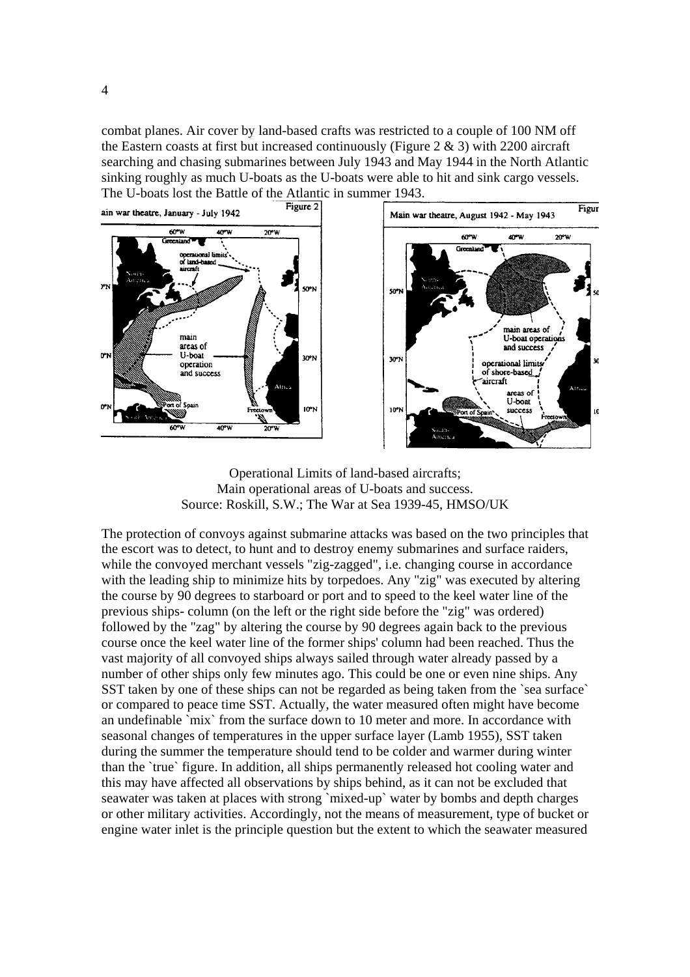combat planes. Air cover by land-based crafts was restricted to a couple of 100 NM off the Eastern coasts at first but increased continuously (Figure 2  $\&$  3) with 2200 aircraft searching and chasing submarines between July 1943 and May 1944 in the North Atlantic sinking roughly as much U-boats as the U-boats were able to hit and sink cargo vessels. The U-boats lost the Battle of the Atlantic in summer 1943.



Operational Limits of land-based aircrafts; Main operational areas of U-boats and success. Source: Roskill, S.W.; The War at Sea 1939-45, HMSO/UK

The protection of convoys against submarine attacks was based on the two principles that the escort was to detect, to hunt and to destroy enemy submarines and surface raiders, while the convoyed merchant vessels "zig-zagged", i.e. changing course in accordance with the leading ship to minimize hits by torpedoes. Any "zig" was executed by altering the course by 90 degrees to starboard or port and to speed to the keel water line of the previous ships- column (on the left or the right side before the "zig" was ordered) followed by the "zag" by altering the course by 90 degrees again back to the previous course once the keel water line of the former ships' column had been reached. Thus the vast majority of all convoyed ships always sailed through water already passed by a number of other ships only few minutes ago. This could be one or even nine ships. Any SST taken by one of these ships can not be regarded as being taken from the 'sea surface' or compared to peace time SST. Actually, the water measured often might have become an undefinable `mix` from the surface down to 10 meter and more. In accordance with seasonal changes of temperatures in the upper surface layer (Lamb 1955), SST taken during the summer the temperature should tend to be colder and warmer during winter than the `true` figure. In addition, all ships permanently released hot cooling water and this may have affected all observations by ships behind, as it can not be excluded that seawater was taken at places with strong `mixed-up` water by bombs and depth charges or other military activities. Accordingly, not the means of measurement, type of bucket or engine water inlet is the principle question but the extent to which the seawater measured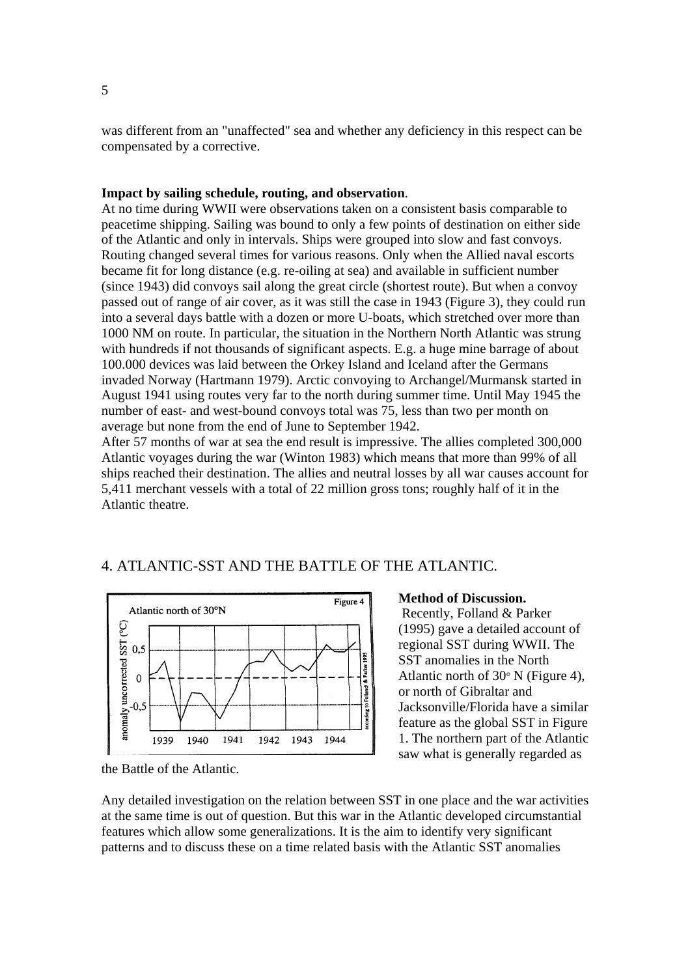was different from an "unaffected" sea and whether any deficiency in this respect can be compensated by a corrective.

#### **Impact by sailing schedule, routing, and observation**.

At no time during WWII were observations taken on a consistent basis comparable to peacetime shipping. Sailing was bound to only a few points of destination on either side of the Atlantic and only in intervals. Ships were grouped into slow and fast convoys. Routing changed several times for various reasons. Only when the Allied naval escorts became fit for long distance (e.g. re-oiling at sea) and available in sufficient number (since 1943) did convoys sail along the great circle (shortest route). But when a convoy passed out of range of air cover, as it was still the case in 1943 (Figure 3), they could run into a several days battle with a dozen or more U-boats, which stretched over more than 1000 NM on route. In particular, the situation in the Northern North Atlantic was strung with hundreds if not thousands of significant aspects. E.g. a huge mine barrage of about 100.000 devices was laid between the Orkey Island and Iceland after the Germans invaded Norway (Hartmann 1979). Arctic convoying to Archangel/Murmansk started in August 1941 using routes very far to the north during summer time. Until May 1945 the number of east- and west-bound convoys total was 75, less than two per month on average but none from the end of June to September 1942.

After 57 months of war at sea the end result is impressive. The allies completed 300,000 Atlantic voyages during the war (Winton 1983) which means that more than 99% of all ships reached their destination. The allies and neutral losses by all war causes account for 5,411 merchant vessels with a total of 22 million gross tons; roughly half of it in the Atlantic theatre.

### 4. ATLANTIC-SST AND THE BATTLE OF THE ATLANTIC.



the Battle of the Atlantic.

#### **Method of Discussion.**

 Recently, Folland & Parker (1995) gave a detailed account of regional SST during WWII. The SST anomalies in the North Atlantic north of 30° N (Figure 4), or north of Gibraltar and Jacksonville/Florida have a similar feature as the global SST in Figure 1. The northern part of the Atlantic saw what is generally regarded as

Any detailed investigation on the relation between SST in one place and the war activities at the same time is out of question. But this war in the Atlantic developed circumstantial features which allow some generalizations. It is the aim to identify very significant patterns and to discuss these on a time related basis with the Atlantic SST anomalies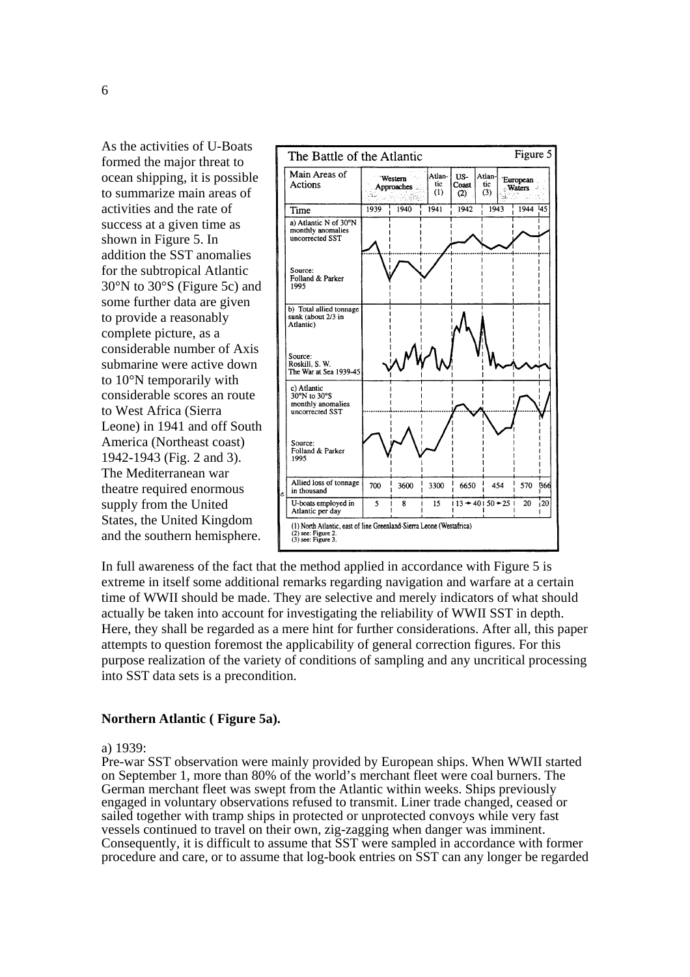As the activities of U-Boats formed the major threat to ocean shipping, it is possible to summarize main areas of activities and the rate of success at a given time as shown in Figure 5. In addition the SST anomalies for the subtropical Atlantic 30°N to 30°S (Figure 5c) and some further data are given to provide a reasonably complete picture, as a considerable number of Axis submarine were active down to 10°N temporarily with considerable scores an route to West Africa (Sierra Leone) in 1941 and off South America (Northeast coast) 1942-1943 (Fig. 2 and 3). The Mediterranean war theatre required enormous supply from the United States, the United Kingdom and the southern hemisphere.



In full awareness of the fact that the method applied in accordance with Figure 5 is extreme in itself some additional remarks regarding navigation and warfare at a certain time of WWII should be made. They are selective and merely indicators of what should actually be taken into account for investigating the reliability of WWII SST in depth. Here, they shall be regarded as a mere hint for further considerations. After all, this paper attempts to question foremost the applicability of general correction figures. For this purpose realization of the variety of conditions of sampling and any uncritical processing into SST data sets is a precondition.

#### **Northern Atlantic ( Figure 5a).**

#### a) 1939:

Pre-war SST observation were mainly provided by European ships. When WWII started on September 1, more than 80% of the world's merchant fleet were coal burners. The German merchant fleet was swept from the Atlantic within weeks. Ships previously engaged in voluntary observations refused to transmit. Liner trade changed, ceased or sailed together with tramp ships in protected or unprotected convoys while very fast vessels continued to travel on their own, zig-zagging when danger was imminent. Consequently, it is difficult to assume that SST were sampled in accordance with former procedure and care, or to assume that log-book entries on SST can any longer be regarded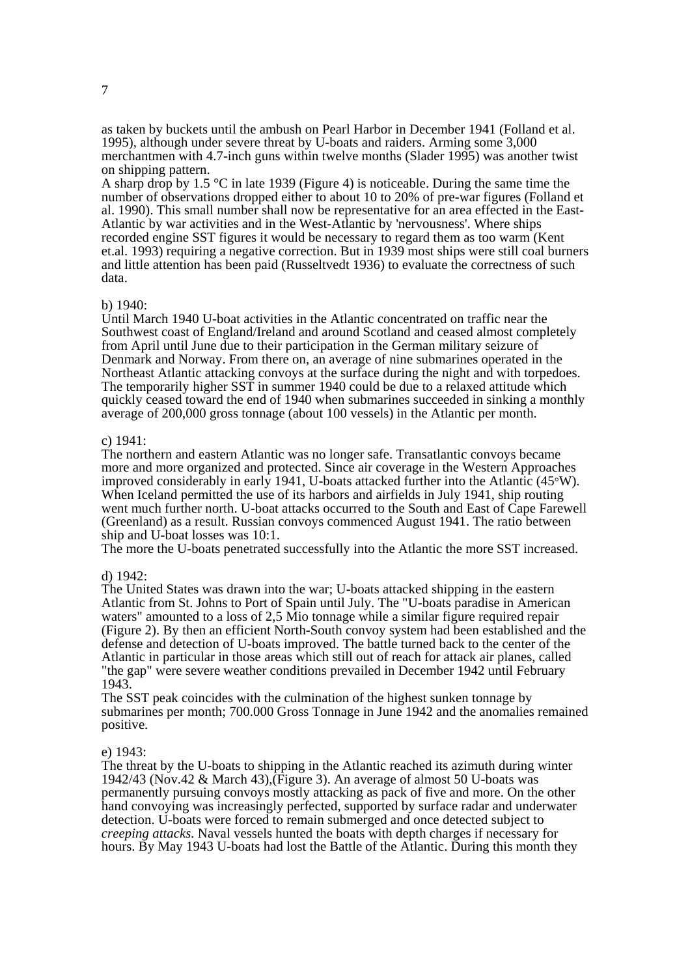as taken by buckets until the ambush on Pearl Harbor in December 1941 (Folland et al. 1995), although under severe threat by U-boats and raiders. Arming some 3,000 merchantmen with 4.7-inch guns within twelve months (Slader 1995) was another twist on shipping pattern.

A sharp drop by 1.5 °C in late 1939 (Figure 4) is noticeable. During the same time the number of observations dropped either to about 10 to 20% of pre-war figures (Folland et al. 1990). This small number shall now be representative for an area effected in the East-Atlantic by war activities and in the West-Atlantic by 'nervousness'. Where ships recorded engine SST figures it would be necessary to regard them as too warm (Kent et.al. 1993) requiring a negative correction. But in 1939 most ships were still coal burners and little attention has been paid (Russeltvedt 1936) to evaluate the correctness of such data.

#### b) 1940:

Until March 1940 U-boat activities in the Atlantic concentrated on traffic near the Southwest coast of England/Ireland and around Scotland and ceased almost completely from April until June due to their participation in the German military seizure of Denmark and Norway. From there on, an average of nine submarines operated in the Northeast Atlantic attacking convoys at the surface during the night and with torpedoes. The temporarily higher SST in summer 1940 could be due to a relaxed attitude which quickly ceased toward the end of 1940 when submarines succeeded in sinking a monthly average of 200,000 gross tonnage (about 100 vessels) in the Atlantic per month.

#### c) 1941:

The northern and eastern Atlantic was no longer safe. Transatlantic convoys became more and more organized and protected. Since air coverage in the Western Approaches improved considerably in early 1941, U-boats attacked further into the Atlantic (45°W). When Iceland permitted the use of its harbors and airfields in July 1941, ship routing went much further north. U-boat attacks occurred to the South and East of Cape Farewell (Greenland) as a result. Russian convoys commenced August 1941. The ratio between ship and U-boat losses was 10:1.

The more the U-boats penetrated successfully into the Atlantic the more SST increased.

#### d) 1942:

The United States was drawn into the war; U-boats attacked shipping in the eastern Atlantic from St. Johns to Port of Spain until July. The "U-boats paradise in American waters" amounted to a loss of 2.5 Mio tonnage while a similar figure required repair (Figure 2). By then an efficient North-South convoy system had been established and the defense and detection of U-boats improved. The battle turned back to the center of the Atlantic in particular in those areas which still out of reach for attack air planes, called "the gap" were severe weather conditions prevailed in December 1942 until February 1943.

The SST peak coincides with the culmination of the highest sunken tonnage by submarines per month; 700.000 Gross Tonnage in June 1942 and the anomalies remained positive.

#### e) 1943:

The threat by the U-boats to shipping in the Atlantic reached its azimuth during winter 1942/43 (Nov.42 & March 43),(Figure 3). An average of almost 50 U-boats was permanently pursuing convoys mostly attacking as pack of five and more. On the other hand convoying was increasingly perfected, supported by surface radar and underwater detection. U-boats were forced to remain submerged and once detected subject to *creeping attacks.* Naval vessels hunted the boats with depth charges if necessary for hours. By May 1943 U-boats had lost the Battle of the Atlantic. During this month they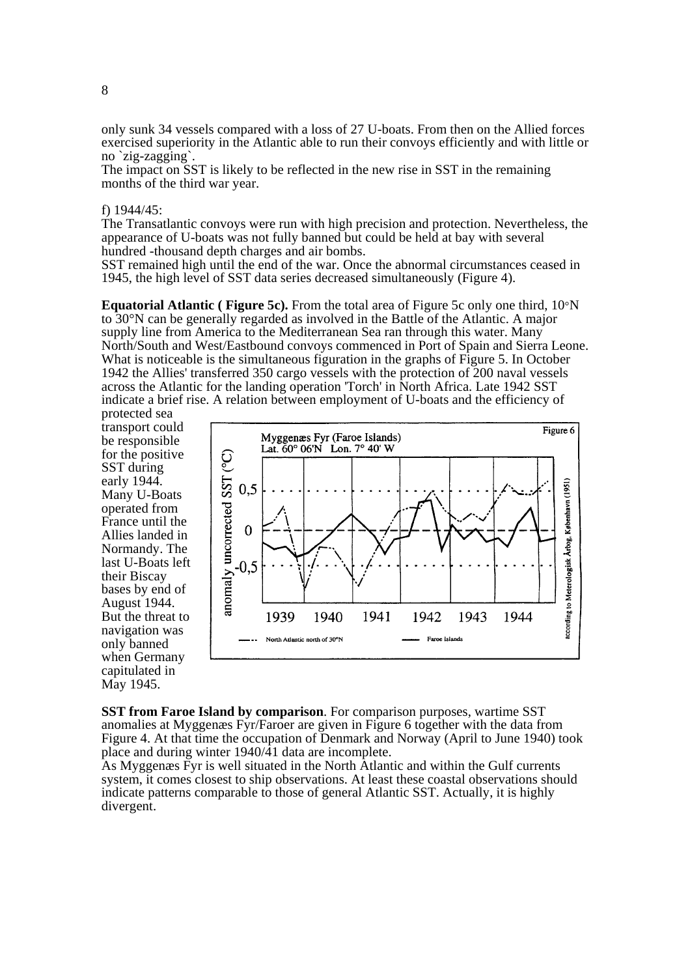only sunk 34 vessels compared with a loss of 27 U-boats. From then on the Allied forces exercised superiority in the Atlantic able to run their convoys efficiently and with little or no `zig-zagging`.

The impact on SST is likely to be reflected in the new rise in SST in the remaining months of the third war year.

#### f) 1944/45:

The Transatlantic convoys were run with high precision and protection. Nevertheless, the appearance of U-boats was not fully banned but could be held at bay with several hundred -thousand depth charges and air bombs.

SST remained high until the end of the war. Once the abnormal circumstances ceased in 1945, the high level of SST data series decreased simultaneously (Figure 4).

**Equatorial Atlantic ( Figure 5c).** From the total area of Figure 5c only one third, 10°N to 30°N can be generally regarded as involved in the Battle of the Atlantic. A major supply line from America to the Mediterranean Sea ran through this water. Many North/South and West/Eastbound convoys commenced in Port of Spain and Sierra Leone. What is noticeable is the simultaneous figuration in the graphs of Figure 5. In October 1942 the Allies' transferred 350 cargo vessels with the protection of 200 naval vessels across the Atlantic for the landing operation 'Torch' in North Africa. Late 1942 SST indicate a brief rise. A relation between employment of U-boats and the efficiency of

protected sea transport could be responsible for the positive SST during early 1944. Many U-Boats operated from France until the Allies landed in Normandy. The last U-Boats left their Biscay bases by end of August 1944. But the threat to navigation was only banned when Germany capitulated in May 1945.



**SST from Faroe Island by comparison**. For comparison purposes, wartime SST anomalies at Myggenæs Fyr/Faroer are given in Figure 6 together with the data from Figure 4. At that time the occupation of Denmark and Norway (April to June 1940) took place and during winter  $1940/\overline{4}1$  data are incomplete.

As Myggenæs Fyr is well situated in the North Atlantic and within the Gulf currents system, it comes closest to ship observations. At least these coastal observations should indicate patterns comparable to those of general Atlantic SST. Actually, it is highly divergent.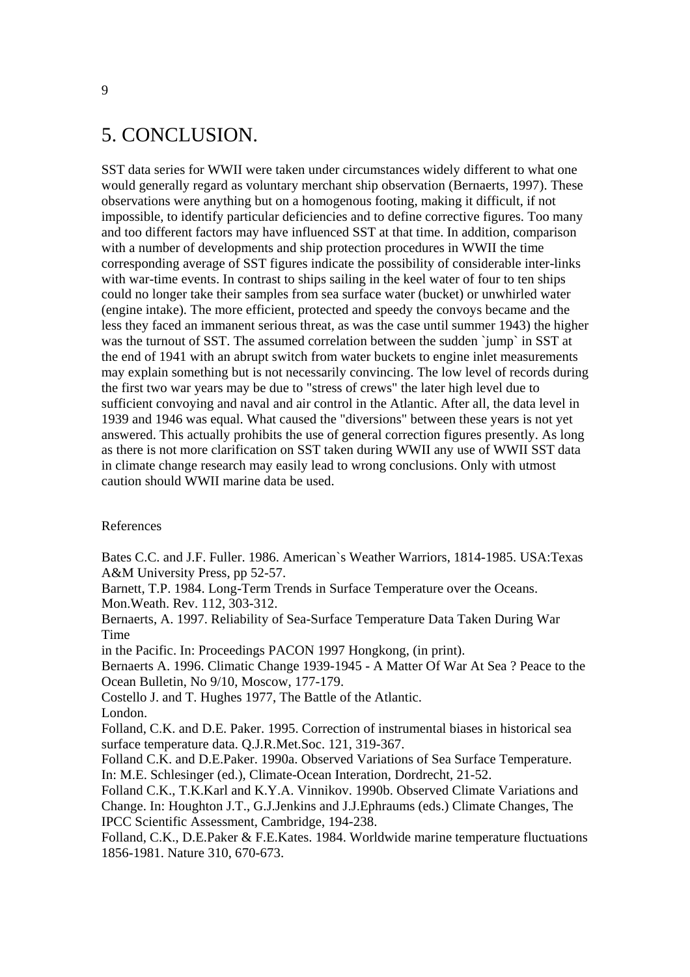## 5. CONCLUSION.

SST data series for WWII were taken under circumstances widely different to what one would generally regard as voluntary merchant ship observation (Bernaerts, 1997). These observations were anything but on a homogenous footing, making it difficult, if not impossible, to identify particular deficiencies and to define corrective figures. Too many and too different factors may have influenced SST at that time. In addition, comparison with a number of developments and ship protection procedures in WWII the time corresponding average of SST figures indicate the possibility of considerable inter-links with war-time events. In contrast to ships sailing in the keel water of four to ten ships could no longer take their samples from sea surface water (bucket) or unwhirled water (engine intake). The more efficient, protected and speedy the convoys became and the less they faced an immanent serious threat, as was the case until summer 1943) the higher was the turnout of SST. The assumed correlation between the sudden `jump` in SST at the end of 1941 with an abrupt switch from water buckets to engine inlet measurements may explain something but is not necessarily convincing. The low level of records during the first two war years may be due to "stress of crews" the later high level due to sufficient convoying and naval and air control in the Atlantic. After all, the data level in 1939 and 1946 was equal. What caused the "diversions" between these years is not yet answered. This actually prohibits the use of general correction figures presently. As long as there is not more clarification on SST taken during WWII any use of WWII SST data in climate change research may easily lead to wrong conclusions. Only with utmost caution should WWII marine data be used.

#### References

Bates C.C. and J.F. Fuller. 1986. American`s Weather Warriors, 1814-1985. USA:Texas A&M University Press, pp 52-57.

Barnett, T.P. 1984. Long-Term Trends in Surface Temperature over the Oceans. Mon.Weath. Rev. 112, 303-312.

Bernaerts, A. 1997. Reliability of Sea-Surface Temperature Data Taken During War Time

in the Pacific. In: Proceedings PACON 1997 Hongkong, (in print).

Bernaerts A. 1996. Climatic Change 1939-1945 - A Matter Of War At Sea ? Peace to the Ocean Bulletin, No 9/10, Moscow, 177-179.

Costello J. and T. Hughes 1977, The Battle of the Atlantic. London.

Folland, C.K. and D.E. Paker. 1995. Correction of instrumental biases in historical sea surface temperature data. Q.J.R.Met.Soc. 121, 319-367.

Folland C.K. and D.E.Paker. 1990a. Observed Variations of Sea Surface Temperature. In: M.E. Schlesinger (ed.), Climate-Ocean Interation, Dordrecht, 21-52.

Folland C.K., T.K.Karl and K.Y.A. Vinnikov. 1990b. Observed Climate Variations and Change. In: Houghton J.T., G.J.Jenkins and J.J.Ephraums (eds.) Climate Changes, The IPCC Scientific Assessment, Cambridge, 194-238.

Folland, C.K., D.E.Paker & F.E.Kates. 1984. Worldwide marine temperature fluctuations 1856-1981. Nature 310, 670-673.